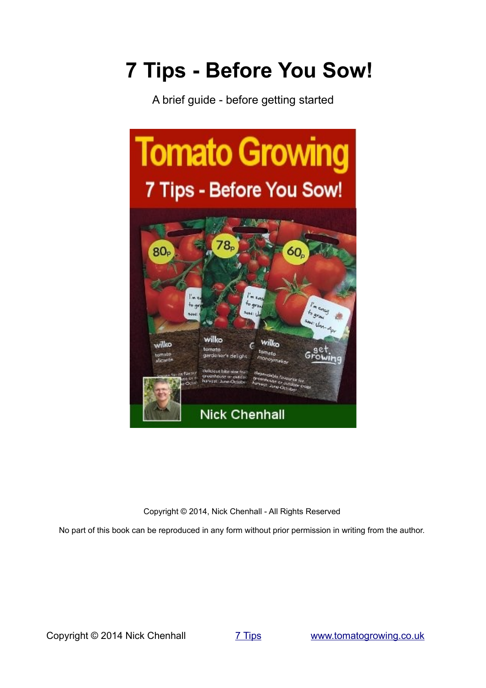# **7 Tips - Before You Sow!**

A brief guide - before getting started



Copyright © 2014, Nick Chenhall - All Rights Reserved

No part of this book can be reproduced in any form without prior permission in writing from the author.

Copyright © 2014 Nick Chenhall [7 Tips](#page-1-0) [www.tomatogrowing.co.uk](http://www.tomatogrowing.co.uk/)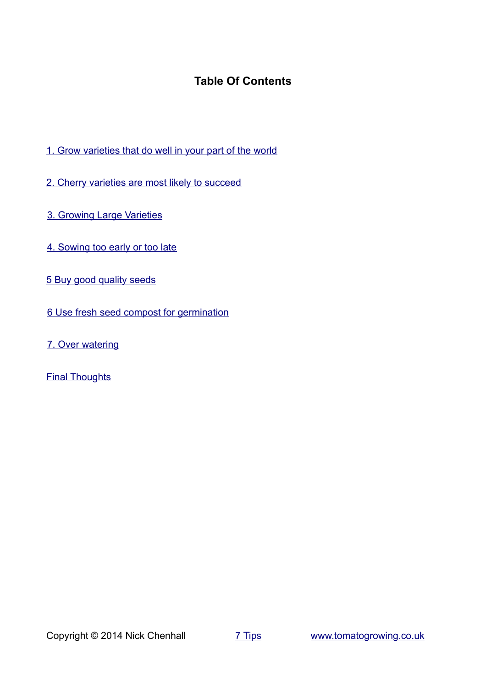# <span id="page-1-0"></span>**Table Of Contents**

- [1. Grow varieties that do well in your part of the world](#page-2-0)
- [2. Cherry varieties are most likely to succeed](#page-3-0)
- [3. Growing Large Varieties](#page-4-0)
- [4. Sowing too early or too late](#page-5-0)
- [5 Buy good quality seeds](#page-6-0)
- [6 Use fresh seed compost for germination](#page-7-0)
- [7. Over watering](#page-9-0)
- **[Final Thoughts](#page-10-0)**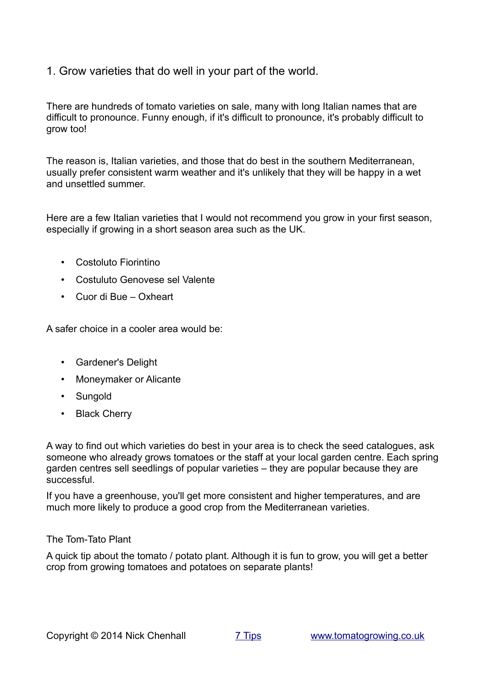#### <span id="page-2-0"></span>1. Grow varieties that do well in your part of the world.

There are hundreds of tomato varieties on sale, many with long Italian names that are difficult to pronounce. Funny enough, if it's difficult to pronounce, it's probably difficult to grow too!

The reason is, Italian varieties, and those that do best in the southern Mediterranean, usually prefer consistent warm weather and it's unlikely that they will be happy in a wet and unsettled summer.

Here are a few Italian varieties that I would not recommend you grow in your first season, especially if growing in a short season area such as the UK.

- Costoluto Fiorintino
- Costuluto Genovese sel Valente
- Cuor di Bue Oxheart

A safer choice in a cooler area would be:

- Gardener's Delight
- Moneymaker or Alicante
- Sungold
- Black Cherry

A way to find out which varieties do best in your area is to check the seed catalogues, ask someone who already grows tomatoes or the staff at your local garden centre. Each spring garden centres sell seedlings of popular varieties – they are popular because they are successful.

If you have a greenhouse, you'll get more consistent and higher temperatures, and are much more likely to produce a good crop from the Mediterranean varieties.

#### The Tom-Tato Plant

A quick tip about the tomato / potato plant. Although it is fun to grow, you will get a better crop from growing tomatoes and potatoes on separate plants!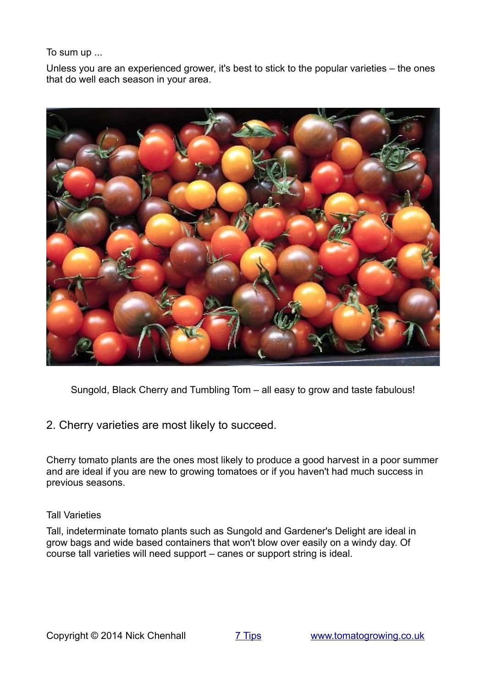To sum up ...

Unless you are an experienced grower, it's best to stick to the popular varieties – the ones that do well each season in your area.



Sungold, Black Cherry and Tumbling Tom – all easy to grow and taste fabulous!

<span id="page-3-0"></span>2. Cherry varieties are most likely to succeed.

Cherry tomato plants are the ones most likely to produce a good harvest in a poor summer and are ideal if you are new to growing tomatoes or if you haven't had much success in previous seasons.

#### Tall Varieties

Tall, indeterminate tomato plants such as Sungold and Gardener's Delight are ideal in grow bags and wide based containers that won't blow over easily on a windy day. Of course tall varieties will need support – canes or support string is ideal.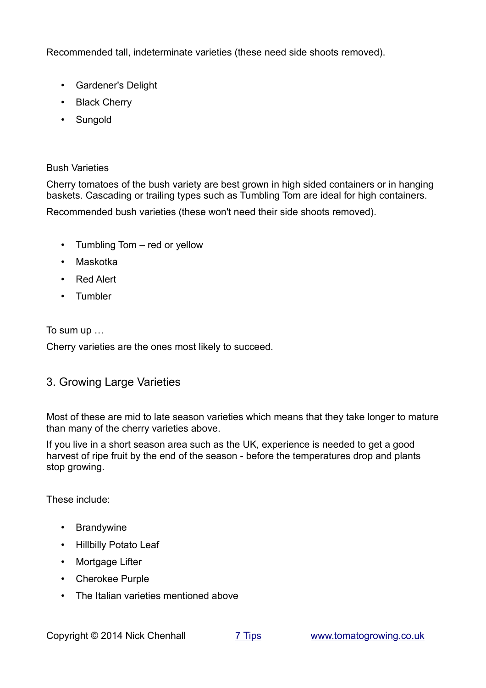Recommended tall, indeterminate varieties (these need side shoots removed).

- Gardener's Delight
- Black Cherry
- Sungold

#### Bush Varieties

Cherry tomatoes of the bush variety are best grown in high sided containers or in hanging baskets. Cascading or trailing types such as Tumbling Tom are ideal for high containers. Recommended bush varieties (these won't need their side shoots removed).

- Tumbling Tom red or yellow
- Maskotka
- Red Alert
- Tumbler

To sum up …

Cherry varieties are the ones most likely to succeed.

# <span id="page-4-0"></span>3. Growing Large Varieties

Most of these are mid to late season varieties which means that they take longer to mature than many of the cherry varieties above.

If you live in a short season area such as the UK, experience is needed to get a good harvest of ripe fruit by the end of the season - before the temperatures drop and plants stop growing.

These include:

- Brandywine
- Hillbilly Potato Leaf
- Mortgage Lifter
- Cherokee Purple
- The Italian varieties mentioned above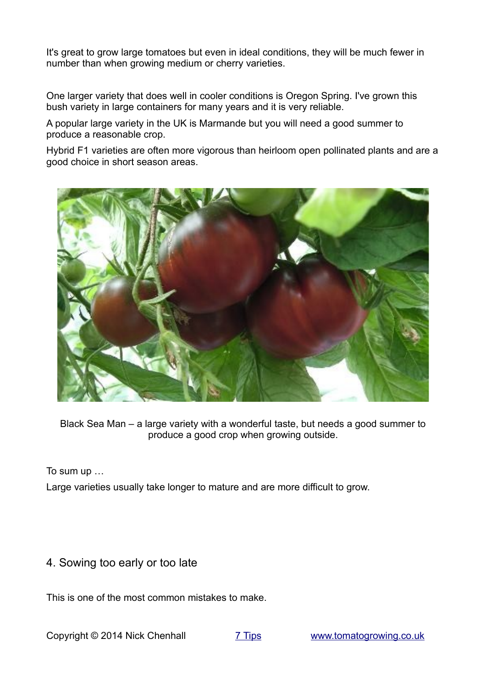It's great to grow large tomatoes but even in ideal conditions, they will be much fewer in number than when growing medium or cherry varieties.

One larger variety that does well in cooler conditions is Oregon Spring. I've grown this bush variety in large containers for many years and it is very reliable.

A popular large variety in the UK is Marmande but you will need a good summer to produce a reasonable crop.

Hybrid F1 varieties are often more vigorous than heirloom open pollinated plants and are a good choice in short season areas.



Black Sea Man – a large variety with a wonderful taste, but needs a good summer to produce a good crop when growing outside.

To sum up …

Large varieties usually take longer to mature and are more difficult to grow.

#### <span id="page-5-0"></span>4. Sowing too early or too late

This is one of the most common mistakes to make.

Copyright © 2014 Nick Chenhall [7 Tips](#page-1-0) [www.tomatogrowing.co.uk](http://www.tomatogrowing.co.uk/)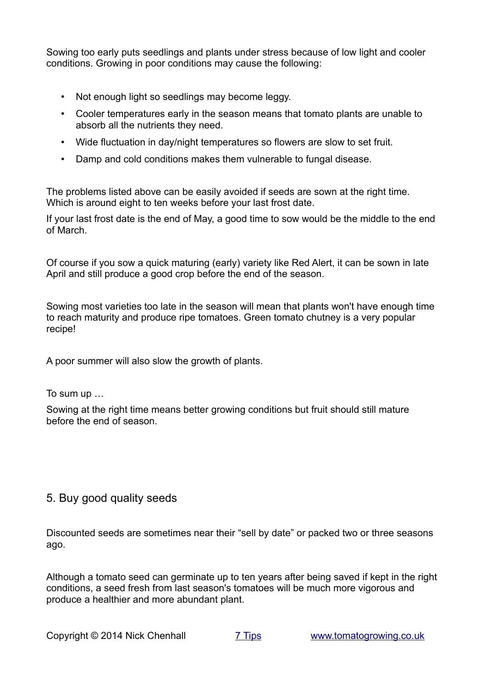Sowing too early puts seedlings and plants under stress because of low light and cooler conditions. Growing in poor conditions may cause the following:

- Not enough light so seedlings may become leggy.
- Cooler temperatures early in the season means that tomato plants are unable to absorb all the nutrients they need.
- Wide fluctuation in day/night temperatures so flowers are slow to set fruit.
- Damp and cold conditions makes them vulnerable to fungal disease.

The problems listed above can be easily avoided if seeds are sown at the right time. Which is around eight to ten weeks before your last frost date.

If your last frost date is the end of May, a good time to sow would be the middle to the end of March.

Of course if you sow a quick maturing (early) variety like Red Alert, it can be sown in late April and still produce a good crop before the end of the season.

Sowing most varieties too late in the season will mean that plants won't have enough time to reach maturity and produce ripe tomatoes. Green tomato chutney is a very popular recipe!

A poor summer will also slow the growth of plants.

To sum up …

Sowing at the right time means better growing conditions but fruit should still mature before the end of season.

# <span id="page-6-0"></span>5. Buy good quality seeds

Discounted seeds are sometimes near their "sell by date" or packed two or three seasons ago.

Although a tomato seed can germinate up to ten years after being saved if kept in the right conditions, a seed fresh from last season's tomatoes will be much more vigorous and produce a healthier and more abundant plant.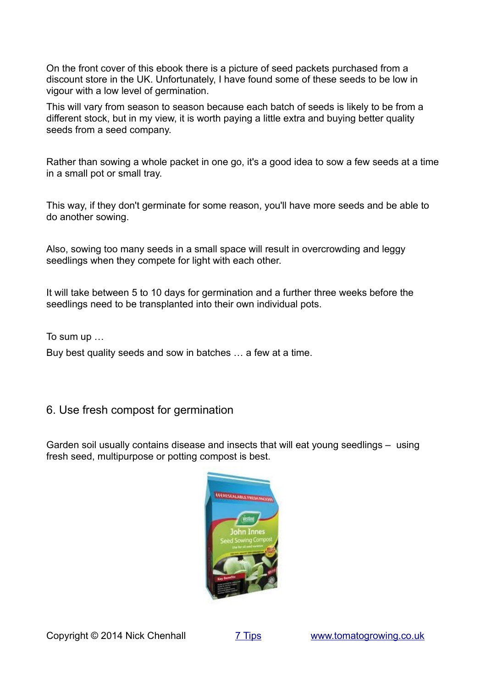On the front cover of this ebook there is a picture of seed packets purchased from a discount store in the UK. Unfortunately, I have found some of these seeds to be low in vigour with a low level of germination.

This will vary from season to season because each batch of seeds is likely to be from a different stock, but in my view, it is worth paying a little extra and buying better quality seeds from a seed company.

Rather than sowing a whole packet in one go, it's a good idea to sow a few seeds at a time in a small pot or small tray.

This way, if they don't germinate for some reason, you'll have more seeds and be able to do another sowing.

Also, sowing too many seeds in a small space will result in overcrowding and leggy seedlings when they compete for light with each other.

It will take between 5 to 10 days for germination and a further three weeks before the seedlings need to be transplanted into their own individual pots.

To sum up …

Buy best quality seeds and sow in batches … a few at a time.

# <span id="page-7-0"></span>6. Use fresh compost for germination

Garden soil usually contains disease and insects that will eat young seedlings – using fresh seed, multipurpose or potting compost is best.

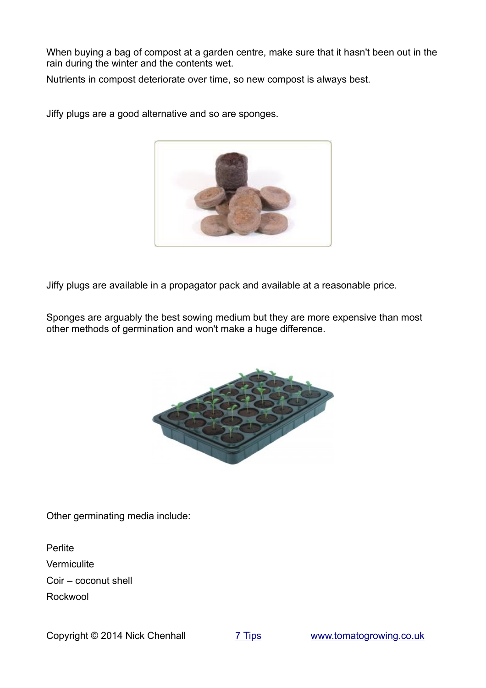When buying a bag of compost at a garden centre, make sure that it hasn't been out in the rain during the winter and the contents wet.

Nutrients in compost deteriorate over time, so new compost is always best.



Jiffy plugs are a good alternative and so are sponges.

Jiffy plugs are available in a propagator pack and available at a reasonable price.

Sponges are arguably the best sowing medium but they are more expensive than most other methods of germination and won't make a huge difference.



Other germinating media include:

**Perlite Vermiculite** Coir – coconut shell Rockwool

Copyright © 2014 Nick Chenhall [7 Tips](#page-1-0) [www.tomatogrowing.co.uk](http://www.tomatogrowing.co.uk/)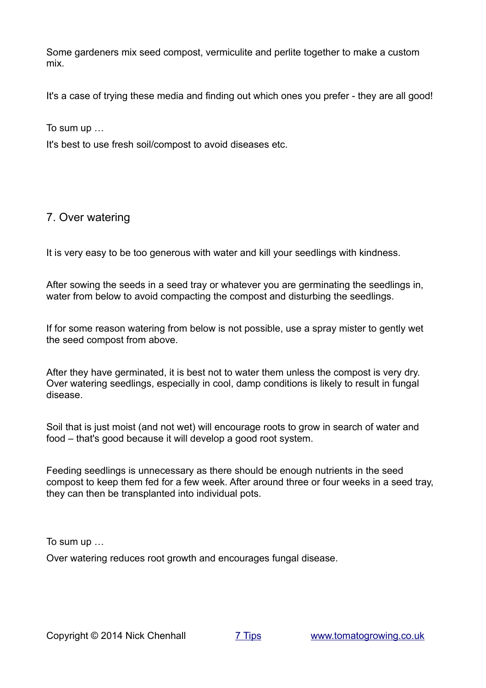Some gardeners mix seed compost, vermiculite and perlite together to make a custom mix.

It's a case of trying these media and finding out which ones you prefer - they are all good!

To sum up …

It's best to use fresh soil/compost to avoid diseases etc.

## <span id="page-9-0"></span>7. Over watering

It is very easy to be too generous with water and kill your seedlings with kindness.

After sowing the seeds in a seed tray or whatever you are germinating the seedlings in, water from below to avoid compacting the compost and disturbing the seedlings.

If for some reason watering from below is not possible, use a spray mister to gently wet the seed compost from above.

After they have germinated, it is best not to water them unless the compost is very dry. Over watering seedlings, especially in cool, damp conditions is likely to result in fungal disease.

Soil that is just moist (and not wet) will encourage roots to grow in search of water and food – that's good because it will develop a good root system.

Feeding seedlings is unnecessary as there should be enough nutrients in the seed compost to keep them fed for a few week. After around three or four weeks in a seed tray, they can then be transplanted into individual pots.

To sum up …

Over watering reduces root growth and encourages fungal disease.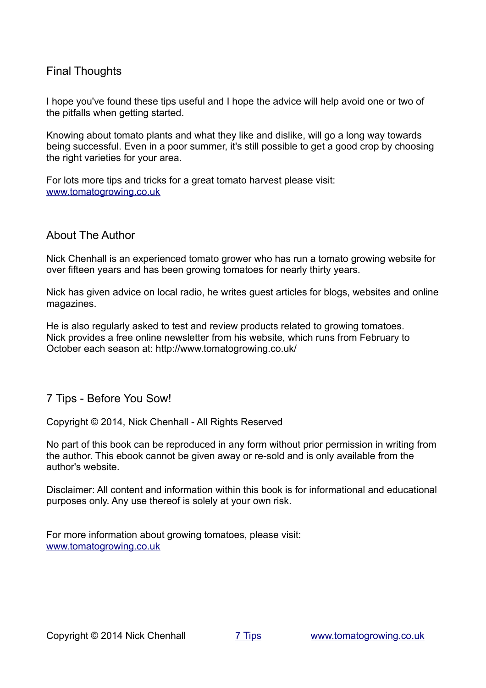## <span id="page-10-0"></span>Final Thoughts

I hope you've found these tips useful and I hope the advice will help avoid one or two of the pitfalls when getting started.

Knowing about tomato plants and what they like and dislike, will go a long way towards being successful. Even in a poor summer, it's still possible to get a good crop by choosing the right varieties for your area.

For lots more tips and tricks for a great tomato harvest please visit: [www.tomatogrowing.co.uk](http://www.tomatogrowing.co.uk/)

#### About The Author

Nick Chenhall is an experienced tomato grower who has run a tomato growing website for over fifteen years and has been growing tomatoes for nearly thirty years.

Nick has given advice on local radio, he writes guest articles for blogs, websites and online magazines.

He is also regularly asked to test and review products related to growing tomatoes. Nick provides a free online newsletter from his website, which runs from February to October each season at: http://www.tomatogrowing.co.uk/

#### 7 Tips - Before You Sow!

Copyright © 2014, Nick Chenhall - All Rights Reserved

No part of this book can be reproduced in any form without prior permission in writing from the author. This ebook cannot be given away or re-sold and is only available from the author's website.

Disclaimer: All content and information within this book is for informational and educational purposes only. Any use thereof is solely at your own risk.

For more information about growing tomatoes, please visit: [www.tomatogrowing.co.uk](http://www.tomatogrowing.co.uk/)